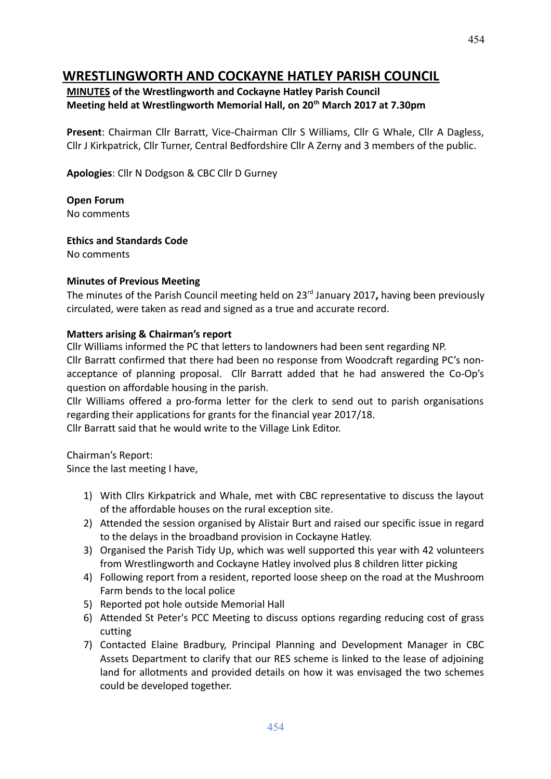# **WRESTLINGWORTH AND COCKAYNE HATLEY PARISH COUNCIL**

#### **MINUTES of the Wrestlingworth and Cockayne Hatley Parish Council Meeting held at Wrestlingworth Memorial Hall, on 20th March 2017 at 7.30pm**

**Present**: Chairman Cllr Barratt, Vice-Chairman Cllr S Williams, Cllr G Whale, Cllr A Dagless, Cllr J Kirkpatrick, Cllr Turner, Central Bedfordshire Cllr A Zerny and 3 members of the public.

**Apologies**: Cllr N Dodgson & CBC Cllr D Gurney

**Open Forum** No comments

**Ethics and Standards Code**

No comments

#### **Minutes of Previous Meeting**

The minutes of the Parish Council meeting held on 23rd January 2017**,** having been previously circulated, were taken as read and signed as a true and accurate record.

#### **Matters arising & Chairman's report**

Cllr Williams informed the PC that letters to landowners had been sent regarding NP. Cllr Barratt confirmed that there had been no response from Woodcraft regarding PC's nonacceptance of planning proposal. Cllr Barratt added that he had answered the Co-Op's question on affordable housing in the parish.

Cllr Williams offered a pro-forma letter for the clerk to send out to parish organisations regarding their applications for grants for the financial year 2017/18.

Cllr Barratt said that he would write to the Village Link Editor.

Chairman's Report:

Since the last meeting I have,

- 1) With Cllrs Kirkpatrick and Whale, met with CBC representative to discuss the layout of the affordable houses on the rural exception site.
- 2) Attended the session organised by Alistair Burt and raised our specific issue in regard to the delays in the broadband provision in Cockayne Hatley.
- 3) Organised the Parish Tidy Up, which was well supported this year with 42 volunteers from Wrestlingworth and Cockayne Hatley involved plus 8 children litter picking
- 4) Following report from a resident, reported loose sheep on the road at the Mushroom Farm bends to the local police
- 5) Reported pot hole outside Memorial Hall
- 6) Attended St Peter's PCC Meeting to discuss options regarding reducing cost of grass cutting
- 7) Contacted Elaine Bradbury, Principal Planning and Development Manager in CBC Assets Department to clarify that our RES scheme is linked to the lease of adjoining land for allotments and provided details on how it was envisaged the two schemes could be developed together.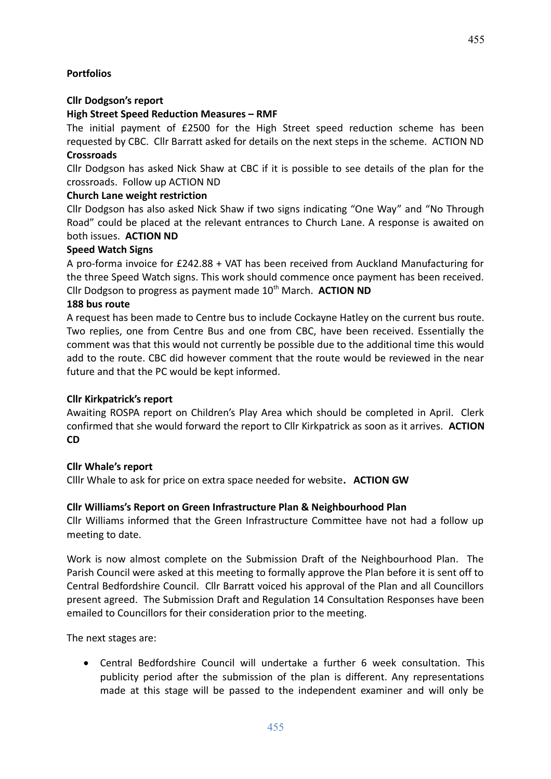455

# **Portfolios**

### **Cllr Dodgson's report**

### **High Street Speed Reduction Measures – RMF**

The initial payment of £2500 for the High Street speed reduction scheme has been requested by CBC. Cllr Barratt asked for details on the next steps in the scheme. ACTION ND **Crossroads**

Cllr Dodgson has asked Nick Shaw at CBC if it is possible to see details of the plan for the crossroads. Follow up ACTION ND

### **Church Lane weight restriction**

Cllr Dodgson has also asked Nick Shaw if two signs indicating "One Way" and "No Through Road" could be placed at the relevant entrances to Church Lane. A response is awaited on both issues. **ACTION ND**

### **Speed Watch Signs**

A pro-forma invoice for £242.88 + VAT has been received from Auckland Manufacturing for the three Speed Watch signs. This work should commence once payment has been received. Cllr Dodgson to progress as payment made 10<sup>th</sup> March. **ACTION ND** 

### **188 bus route**

A request has been made to Centre bus to include Cockayne Hatley on the current bus route. Two replies, one from Centre Bus and one from CBC, have been received. Essentially the comment was that this would not currently be possible due to the additional time this would add to the route. CBC did however comment that the route would be reviewed in the near future and that the PC would be kept informed.

#### **Cllr Kirkpatrick's report**

Awaiting ROSPA report on Children's Play Area which should be completed in April. Clerk confirmed that she would forward the report to Cllr Kirkpatrick as soon as it arrives. **ACTION CD**

# **Cllr Whale's report**

Clllr Whale to ask for price on extra space needed for website**. ACTION GW**

# **Cllr Williams's Report on Green Infrastructure Plan & Neighbourhood Plan**

Cllr Williams informed that the Green Infrastructure Committee have not had a follow up meeting to date.

Work is now almost complete on the Submission Draft of the Neighbourhood Plan. The Parish Council were asked at this meeting to formally approve the Plan before it is sent off to Central Bedfordshire Council. Cllr Barratt voiced his approval of the Plan and all Councillors present agreed. The Submission Draft and Regulation 14 Consultation Responses have been emailed to Councillors for their consideration prior to the meeting.

The next stages are:

 Central Bedfordshire Council will undertake a further 6 week consultation. This publicity period after the submission of the plan is different. Any representations made at this stage will be passed to the independent examiner and will only be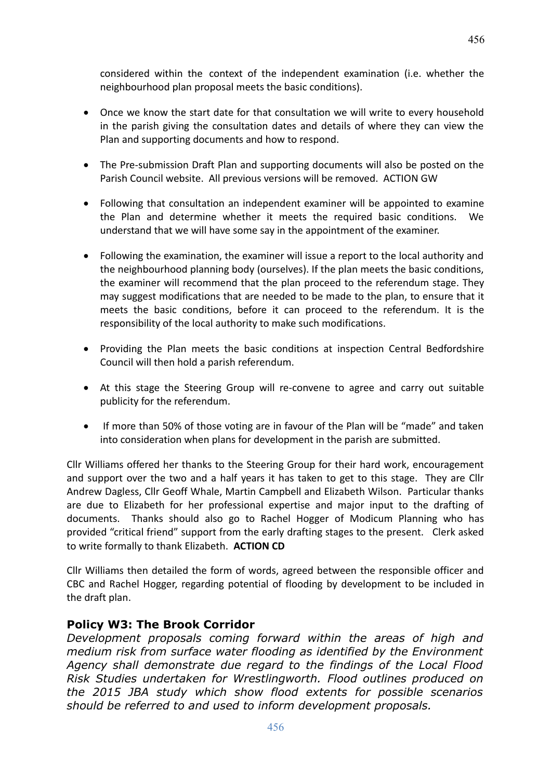considered within the context of the independent examination (i.e. whether the neighbourhood plan proposal meets the basic conditions).

- Once we know the start date for that consultation we will write to every household in the parish giving the consultation dates and details of where they can view the Plan and supporting documents and how to respond.
- The Pre-submission Draft Plan and supporting documents will also be posted on the Parish Council website. All previous versions will be removed. ACTION GW
- Following that consultation an independent examiner will be appointed to examine the Plan and determine whether it meets the required basic conditions. We understand that we will have some say in the appointment of the examiner.
- Following the examination, the examiner will issue a report to the local authority and the neighbourhood planning body (ourselves). If the plan meets the basic conditions, the examiner will recommend that the plan proceed to the referendum stage. They may suggest modifications that are needed to be made to the plan, to ensure that it meets the basic conditions, before it can proceed to the referendum. It is the responsibility of the local authority to make such modifications.
- Providing the Plan meets the basic conditions at inspection Central Bedfordshire Council will then hold a parish referendum.
- At this stage the Steering Group will re-convene to agree and carry out suitable publicity for the referendum.
- If more than 50% of those voting are in favour of the Plan will be "made" and taken into consideration when plans for development in the parish are submitted.

Cllr Williams offered her thanks to the Steering Group for their hard work, encouragement and support over the two and a half years it has taken to get to this stage. They are Cllr Andrew Dagless, Cllr Geoff Whale, Martin Campbell and Elizabeth Wilson. Particular thanks are due to Elizabeth for her professional expertise and major input to the drafting of documents. Thanks should also go to Rachel Hogger of Modicum Planning who has provided "critical friend" support from the early drafting stages to the present. Clerk asked to write formally to thank Elizabeth. **ACTION CD**

Cllr Williams then detailed the form of words, agreed between the responsible officer and CBC and Rachel Hogger, regarding potential of flooding by development to be included in the draft plan.

# **Policy W3: The Brook Corridor**

*Development proposals coming forward within the areas of high and medium risk from surface water flooding as identified by the Environment Agency shall demonstrate due regard to the findings of the Local Flood Risk Studies undertaken for Wrestlingworth. Flood outlines produced on the 2015 JBA study which show flood extents for possible scenarios should be referred to and used to inform development proposals.*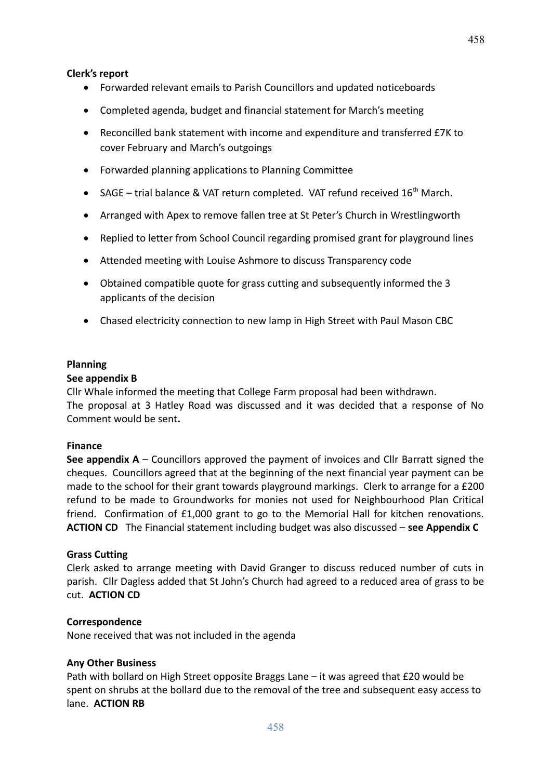#### **Clerk's report**

- Forwarded relevant emails to Parish Councillors and updated noticeboards
- Completed agenda, budget and financial statement for March's meeting
- Reconcilled bank statement with income and expenditure and transferred £7K to cover February and March's outgoings
- Forwarded planning applications to Planning Committee
- SAGE trial balance & VAT return completed. VAT refund received  $16<sup>th</sup>$  March.
- Arranged with Apex to remove fallen tree at St Peter's Church in Wrestlingworth
- Replied to letter from School Council regarding promised grant for playground lines
- Attended meeting with Louise Ashmore to discuss Transparency code
- Obtained compatible quote for grass cutting and subsequently informed the 3 applicants of the decision
- Chased electricity connection to new lamp in High Street with Paul Mason CBC

#### **Planning**

#### **See appendix B**

Cllr Whale informed the meeting that College Farm proposal had been withdrawn. The proposal at 3 Hatley Road was discussed and it was decided that a response of No Comment would be sent**.**

#### **Finance**

**See appendix A** – Councillors approved the payment of invoices and Cllr Barratt signed the cheques. Councillors agreed that at the beginning of the next financial year payment can be made to the school for their grant towards playground markings. Clerk to arrange for a £200 refund to be made to Groundworks for monies not used for Neighbourhood Plan Critical friend. Confirmation of £1,000 grant to go to the Memorial Hall for kitchen renovations. **ACTION CD** The Financial statement including budget was also discussed – **see Appendix C**

#### **Grass Cutting**

Clerk asked to arrange meeting with David Granger to discuss reduced number of cuts in parish. Cllr Dagless added that St John's Church had agreed to a reduced area of grass to be cut. **ACTION CD**

#### **Correspondence**

None received that was not included in the agenda

#### **Any Other Business**

Path with bollard on High Street opposite Braggs Lane – it was agreed that £20 would be spent on shrubs at the bollard due to the removal of the tree and subsequent easy access to lane. **ACTION RB**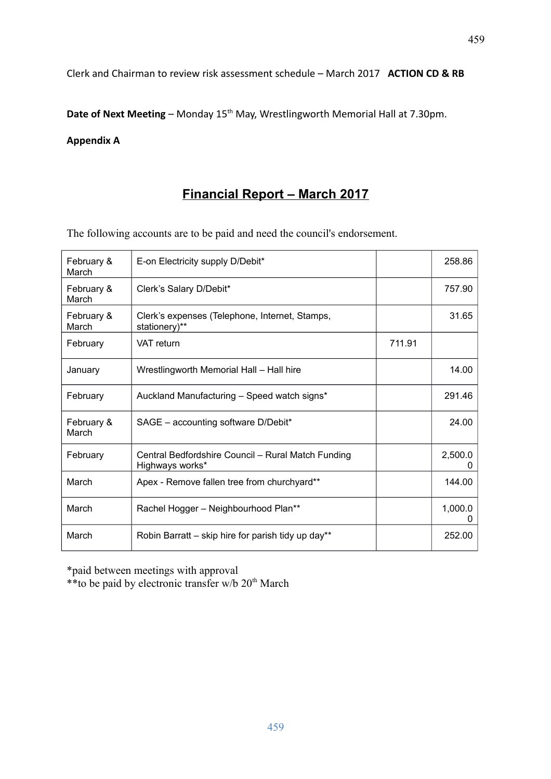Clerk and Chairman to review risk assessment schedule – March 2017 **ACTION CD & RB**

Date of Next Meeting – Monday 15<sup>th</sup> May, Wrestlingworth Memorial Hall at 7.30pm.

#### **Appendix A**

# **Financial Report – March 2017**

The following accounts are to be paid and need the council's endorsement.

| February &<br>March | E-on Electricity supply D/Debit*                                      |        | 258.86       |
|---------------------|-----------------------------------------------------------------------|--------|--------------|
| February &<br>March | Clerk's Salary D/Debit*                                               |        | 757.90       |
| February &<br>March | Clerk's expenses (Telephone, Internet, Stamps,<br>stationery)**       |        | 31.65        |
| February            | <b>VAT</b> return                                                     | 711.91 |              |
| January             | Wrestlingworth Memorial Hall - Hall hire                              |        | 14.00        |
| February            | Auckland Manufacturing - Speed watch signs*                           |        | 291.46       |
| February &<br>March | SAGE - accounting software D/Debit*                                   |        | 24.00        |
| February            | Central Bedfordshire Council - Rural Match Funding<br>Highways works* |        | 2,500.0<br>0 |
| March               | Apex - Remove fallen tree from churchyard**                           |        | 144.00       |
| March               | Rachel Hogger - Neighbourhood Plan**                                  |        | 1,000.0      |
| March               | Robin Barratt - skip hire for parish tidy up day**                    |        | 252.00       |

\*paid between meetings with approval

\*\*to be paid by electronic transfer w/b  $20<sup>th</sup>$  March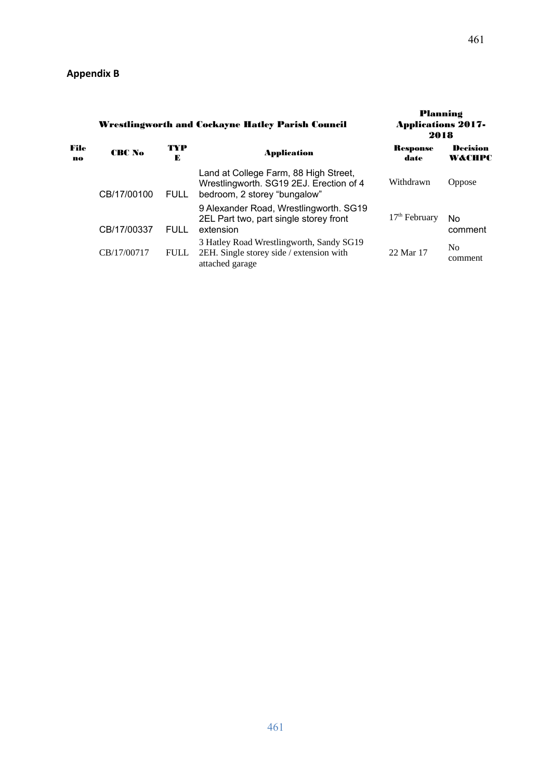|            | <b>Wrestlingworth and Cockayne Hatley Parish Council</b> |             |                                                                                                                  | Planning<br><b>Applications 2017-</b><br>2018 |                           |
|------------|----------------------------------------------------------|-------------|------------------------------------------------------------------------------------------------------------------|-----------------------------------------------|---------------------------|
| File<br>no | CRC No                                                   | TYP<br>Е    | <b>Application</b>                                                                                               | <b>Response</b><br>date                       | Decision<br>W&CHPC        |
|            | CB/17/00100                                              | <b>FULL</b> | Land at College Farm, 88 High Street,<br>Wrestlingworth. SG19 2EJ. Erection of 4<br>bedroom, 2 storey "bungalow" | Withdrawn                                     | <b>Oppose</b>             |
|            | CB/17/00337                                              | FULL        | 9 Alexander Road, Wrestlingworth. SG19<br>2EL Part two, part single storey front<br>extension                    | $17th$ February                               | No<br>comment             |
|            | CB/17/00717                                              | <b>FULL</b> | 3 Hatley Road Wrestlingworth, Sandy SG19<br>2EH. Single storey side / extension with<br>attached garage          | 22 Mar 17                                     | N <sub>0</sub><br>comment |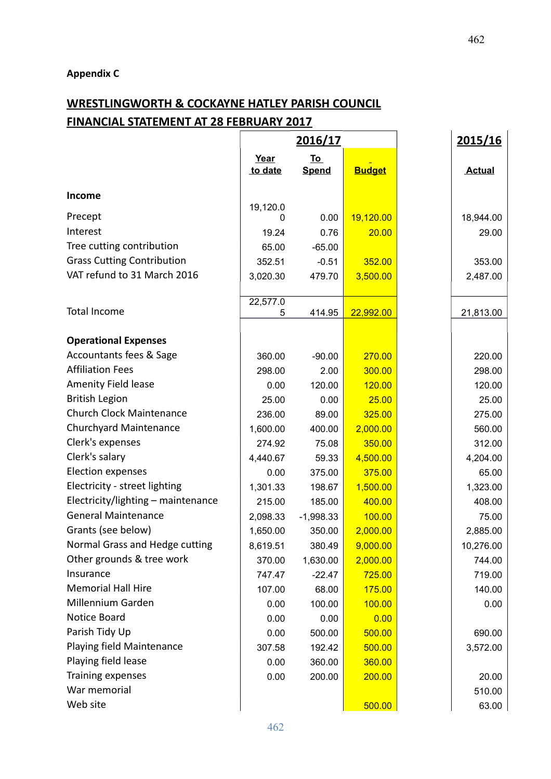# **Appendix C**

# **WRESTLINGWORTH & COCKAYNE HATLEY PARISH COUNCIL FINANCIAL STATEMENT AT 28 FEBRUARY 2017**

|                                    | <u>2016/17</u>    |              |               | 2015/16       |
|------------------------------------|-------------------|--------------|---------------|---------------|
|                                    | Year<br><u>To</u> |              |               |               |
|                                    | to date           | <b>Spend</b> | <b>Budget</b> | <b>Actual</b> |
| Income                             |                   |              |               |               |
|                                    | 19,120.0          |              |               |               |
| Precept                            |                   | 0.00         | 19,120.00     | 18,944.00     |
| Interest                           | 19.24             | 0.76         | 20.00         | 29.00         |
| Tree cutting contribution          | 65.00             | $-65.00$     |               |               |
| <b>Grass Cutting Contribution</b>  | 352.51            | $-0.51$      | 352.00        | 353.00        |
| VAT refund to 31 March 2016        | 3,020.30          | 479.70       | 3,500.00      | 2,487.00      |
|                                    |                   |              |               |               |
| <b>Total Income</b>                | 22,577.0<br>5     | 414.95       | 22,992.00     |               |
|                                    |                   |              |               | 21,813.00     |
| <b>Operational Expenses</b>        |                   |              |               |               |
| Accountants fees & Sage            | 360.00            | $-90.00$     | 270.00        | 220.00        |
| <b>Affiliation Fees</b>            | 298.00            | 2.00         | 300.00        | 298.00        |
| Amenity Field lease                | 0.00              | 120.00       | 120.00        | 120.00        |
| <b>British Legion</b>              | 25.00             | 0.00         | 25.00         | 25.00         |
| <b>Church Clock Maintenance</b>    | 236.00            | 89.00        | 325.00        | 275.00        |
| <b>Churchyard Maintenance</b>      | 1,600.00          | 400.00       | 2,000.00      | 560.00        |
| Clerk's expenses                   | 274.92            | 75.08        | 350.00        | 312.00        |
| Clerk's salary                     | 4,440.67          | 59.33        | 4,500.00      | 4,204.00      |
| <b>Election expenses</b>           | 0.00              | 375.00       | 375.00        | 65.00         |
| Electricity - street lighting      | 1,301.33          | 198.67       | 1,500.00      | 1,323.00      |
| Electricity/lighting - maintenance | 215.00            | 185.00       | 400.00        | 408.00        |
| <b>General Maintenance</b>         | 2,098.33          | $-1,998.33$  | 100.00        | 75.00         |
| Grants (see below)                 | 1,650.00          | 350.00       | 2,000.00      | 2,885.00      |
| Normal Grass and Hedge cutting     | 8,619.51          | 380.49       | 9,000.00      | 10,276.00     |
| Other grounds & tree work          | 370.00            | 1,630.00     | 2,000.00      | 744.00        |
| Insurance                          | 747.47            | $-22.47$     | 725.00        | 719.00        |
| <b>Memorial Hall Hire</b>          | 107.00            | 68.00        | 175.00        | 140.00        |
| Millennium Garden                  | 0.00              | 100.00       | 100.00        | 0.00          |
| Notice Board                       | 0.00              | 0.00         | 0.00          |               |
| Parish Tidy Up                     | 0.00              | 500.00       | 500.00        | 690.00        |
| Playing field Maintenance          | 307.58            | 192.42       | 500.00        | 3,572.00      |
| Playing field lease                | 0.00              | 360.00       | 360.00        |               |
| Training expenses                  | 0.00              | 200.00       | 200.00        | 20.00         |
| War memorial                       |                   |              |               | 510.00        |
| Web site                           |                   |              | 500.00        | 63.00         |